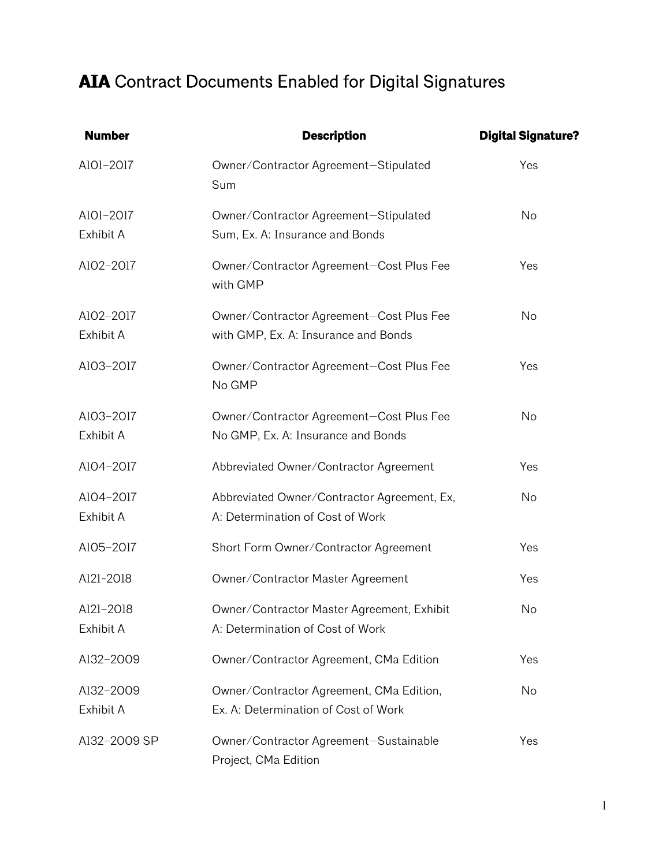## **AIA** Contract Documents Enabled for Digital Signatures

| <b>Number</b>          | <b>Description</b>                                                               | <b>Digital Signature?</b> |
|------------------------|----------------------------------------------------------------------------------|---------------------------|
| A101-2017              | Owner/Contractor Agreement-Stipulated<br>Sum                                     | Yes                       |
| A101-2017<br>Exhibit A | Owner/Contractor Agreement-Stipulated<br>Sum, Ex. A: Insurance and Bonds         | <b>No</b>                 |
| AlO2-2017              | Owner/Contractor Agreement-Cost Plus Fee<br>with GMP                             | Yes                       |
| AlO2-2017<br>Exhibit A | Owner/Contractor Agreement-Cost Plus Fee<br>with GMP, Ex. A: Insurance and Bonds | No                        |
| A103-2017              | Owner/Contractor Agreement-Cost Plus Fee<br>No GMP                               | Yes                       |
| A103-2017<br>Exhibit A | Owner/Contractor Agreement-Cost Plus Fee<br>No GMP, Ex. A: Insurance and Bonds   | No                        |
| A104-2017              | Abbreviated Owner/Contractor Agreement                                           | Yes                       |
| A104-2017<br>Exhibit A | Abbreviated Owner/Contractor Agreement, Ex,<br>A: Determination of Cost of Work  | No                        |
| A105-2017              | Short Form Owner/Contractor Agreement                                            | Yes                       |
| Al2l-2018              | Owner/Contractor Master Agreement                                                | Yes                       |
| A121-2018<br>Exhibit A | Owner/Contractor Master Agreement, Exhibit<br>A: Determination of Cost of Work   | No                        |
| Al32-2009              | Owner/Contractor Agreement, CMa Edition                                          | Yes                       |
| Al32-2009<br>Exhibit A | Owner/Contractor Agreement, CMa Edition,<br>Ex. A: Determination of Cost of Work | No                        |
| Al32-2009 SP           | Owner/Contractor Agreement-Sustainable<br>Project, CMa Edition                   | Yes                       |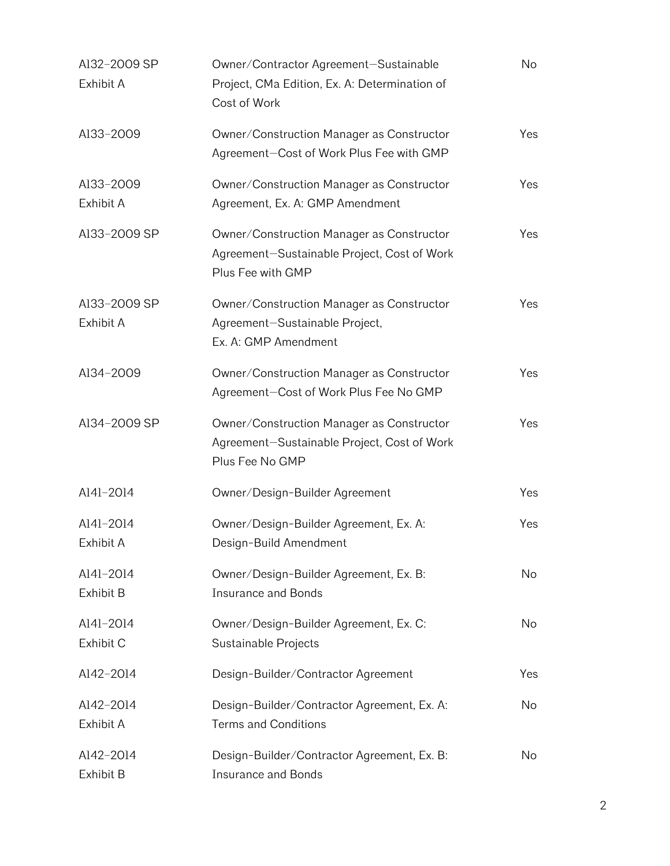| A132-2009 SP<br>Exhibit A | Owner/Contractor Agreement-Sustainable<br>Project, CMa Edition, Ex. A: Determination of<br>Cost of Work       | No  |
|---------------------------|---------------------------------------------------------------------------------------------------------------|-----|
| Al33-2009                 | Owner/Construction Manager as Constructor<br>Agreement-Cost of Work Plus Fee with GMP                         | Yes |
| Al33-2009<br>Exhibit A    | Owner/Construction Manager as Constructor<br>Agreement, Ex. A: GMP Amendment                                  | Yes |
| A133-2009 SP              | Owner/Construction Manager as Constructor<br>Agreement-Sustainable Project, Cost of Work<br>Plus Fee with GMP | Yes |
| A133-2009 SP<br>Exhibit A | Owner/Construction Manager as Constructor<br>Agreement-Sustainable Project,<br>Ex. A: GMP Amendment           | Yes |
| Al34-2009                 | Owner/Construction Manager as Constructor<br>Agreement-Cost of Work Plus Fee No GMP                           | Yes |
| A134-2009 SP              | Owner/Construction Manager as Constructor<br>Agreement-Sustainable Project, Cost of Work<br>Plus Fee No GMP   | Yes |
| Al4l-2014                 | Owner/Design-Builder Agreement                                                                                | Yes |
| A141-2014<br>Exhibit A    | Owner/Design-Builder Agreement, Ex. A:<br>Design-Build Amendment                                              | Yes |
| A141-2014<br>Exhibit B    | Owner/Design-Builder Agreement, Ex. B:<br><b>Insurance and Bonds</b>                                          | No  |
| A141-2014<br>Exhibit C    | Owner/Design-Builder Agreement, Ex. C:<br>Sustainable Projects                                                | No  |
| Al42-2014                 | Design-Builder/Contractor Agreement                                                                           | Yes |
| A142-2014<br>Exhibit A    | Design-Builder/Contractor Agreement, Ex. A:<br><b>Terms and Conditions</b>                                    | No  |
| Al42-2014<br>Exhibit B    | Design-Builder/Contractor Agreement, Ex. B:<br><b>Insurance and Bonds</b>                                     | No  |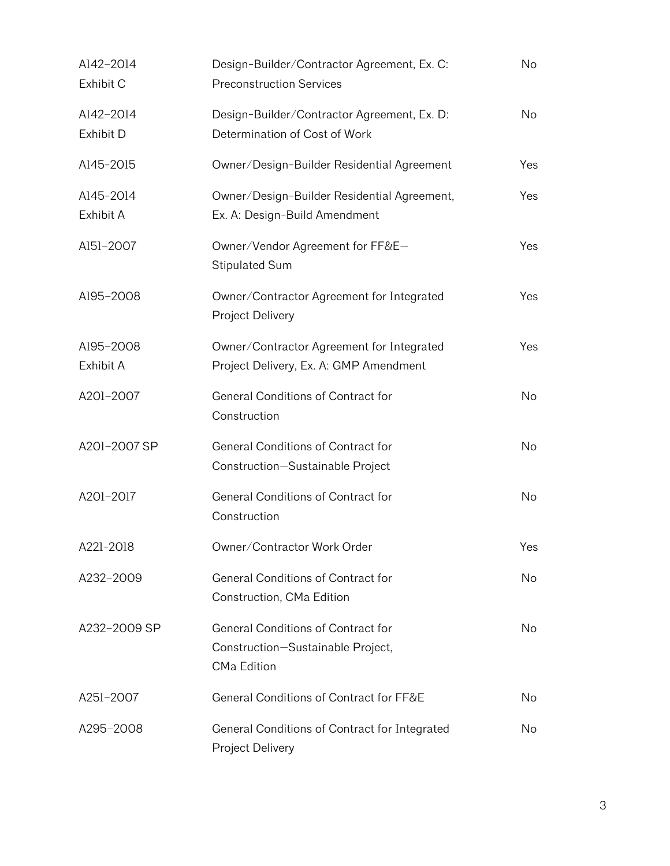| Al42-2014<br>Exhibit C | Design-Builder/Contractor Agreement, Ex. C:<br><b>Preconstruction Services</b>         | <b>No</b> |
|------------------------|----------------------------------------------------------------------------------------|-----------|
| Al42-2014<br>Exhibit D | Design-Builder/Contractor Agreement, Ex. D:<br>Determination of Cost of Work           | No        |
| A145-2015              | Owner/Design-Builder Residential Agreement                                             | Yes       |
| A145-2014<br>Exhibit A | Owner/Design-Builder Residential Agreement,<br>Ex. A: Design-Build Amendment           | Yes       |
| A151-2007              | Owner/Vendor Agreement for FF&E-<br><b>Stipulated Sum</b>                              | Yes       |
| A195-2008              | Owner/Contractor Agreement for Integrated<br>Project Delivery                          | Yes       |
| A195-2008<br>Exhibit A | Owner/Contractor Agreement for Integrated<br>Project Delivery, Ex. A: GMP Amendment    | Yes       |
| A201-2007              | General Conditions of Contract for<br>Construction                                     | No        |
| A201-2007 SP           | General Conditions of Contract for<br>Construction-Sustainable Project                 | No        |
| A201-2017              | General Conditions of Contract for<br>Construction                                     | No        |
| A221-2018              | Owner/Contractor Work Order                                                            | Yes       |
| A232-2009              | General Conditions of Contract for<br>Construction, CMa Edition                        | No.       |
| A232-2009 SP           | General Conditions of Contract for<br>Construction-Sustainable Project,<br>CMa Edition | No.       |
| A251-2007              | General Conditions of Contract for FF&E                                                | No        |
| A295-2008              | General Conditions of Contract for Integrated<br>Project Delivery                      | No.       |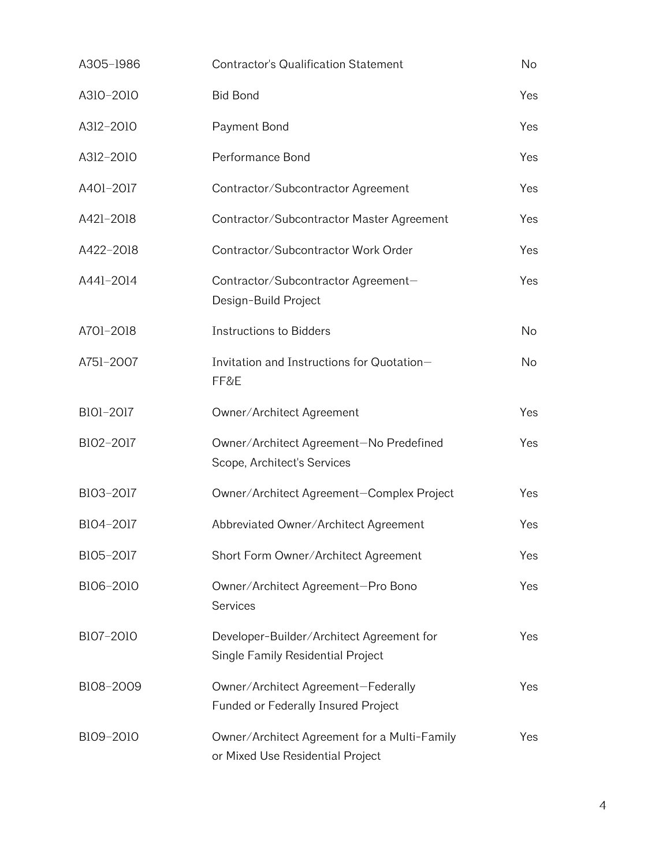| A305-1986 | Contractor's Qualification Statement                                             | No        |
|-----------|----------------------------------------------------------------------------------|-----------|
| A310-2010 | <b>Bid Bond</b>                                                                  | Yes       |
| A312-2010 | Payment Bond                                                                     | Yes       |
| A312-2010 | Performance Bond                                                                 | Yes       |
| A401-2017 | Contractor/Subcontractor Agreement                                               | Yes       |
| A421-2018 | Contractor/Subcontractor Master Agreement                                        | Yes       |
| A422-2018 | Contractor/Subcontractor Work Order                                              | Yes       |
| A441-2014 | Contractor/Subcontractor Agreement-<br>Design-Build Project                      | Yes       |
| A701-2018 | <b>Instructions to Bidders</b>                                                   | No        |
| A751-2007 | Invitation and Instructions for Quotation-<br>FF&E                               | <b>No</b> |
| B101-2017 | Owner/Architect Agreement                                                        | Yes       |
| B102-2017 | Owner/Architect Agreement-No Predefined<br>Scope, Architect's Services           | Yes       |
| B103-2017 | Owner/Architect Agreement-Complex Project                                        | Yes       |
| B104-2017 | Abbreviated Owner/Architect Agreement                                            | Yes       |
| B105-2017 | Short Form Owner/Architect Agreement                                             | Yes       |
| B106-2010 | Owner/Architect Agreement-Pro Bono<br>Services                                   | Yes       |
| B107-2010 | Developer-Builder/Architect Agreement for<br>Single Family Residential Project   | Yes       |
| B108-2009 | Owner/Architect Agreement-Federally<br>Funded or Federally Insured Project       | Yes       |
| B109-2010 | Owner/Architect Agreement for a Multi-Family<br>or Mixed Use Residential Project | Yes       |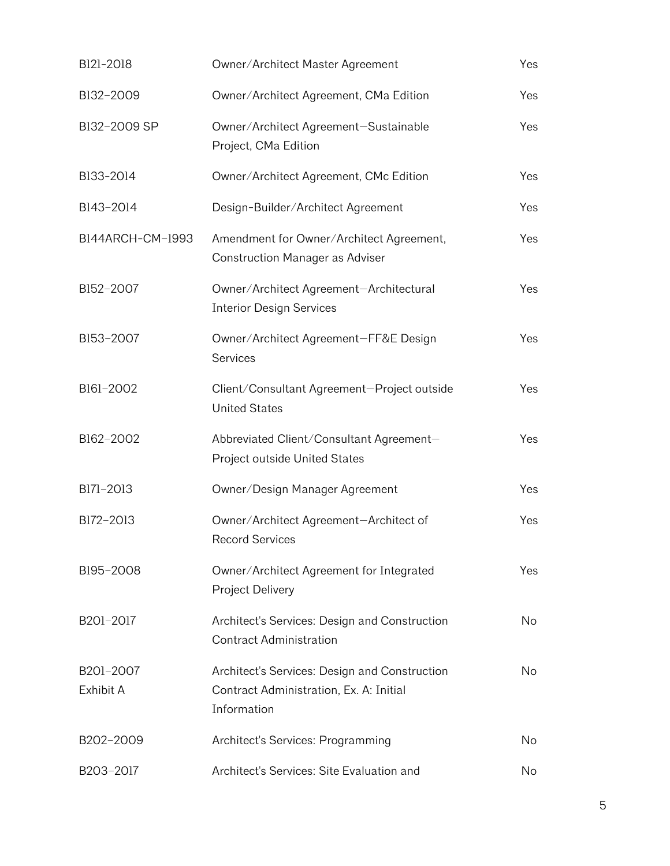| B121-2018              | Owner/Architect Master Agreement                                                                        | Yes |
|------------------------|---------------------------------------------------------------------------------------------------------|-----|
| B132-2009              | Owner/Architect Agreement, CMa Edition                                                                  | Yes |
| B132-2009 SP           | Owner/Architect Agreement-Sustainable<br>Project, CMa Edition                                           | Yes |
| B133-2014              | Owner/Architect Agreement, CMc Edition                                                                  | Yes |
| B143-2014              | Design-Builder/Architect Agreement                                                                      | Yes |
| B144ARCH-CM-1993       | Amendment for Owner/Architect Agreement,<br><b>Construction Manager as Adviser</b>                      | Yes |
| B152-2007              | Owner/Architect Agreement-Architectural<br><b>Interior Design Services</b>                              | Yes |
| B153-2007              | Owner/Architect Agreement-FF&E Design<br>Services                                                       | Yes |
| B161-2002              | Client/Consultant Agreement-Project outside<br><b>United States</b>                                     | Yes |
| B162-2002              | Abbreviated Client/Consultant Agreement-<br>Project outside United States                               | Yes |
| B171-2013              | Owner/Design Manager Agreement                                                                          | Yes |
| B172-2013              | Owner/Architect Agreement-Architect of<br><b>Record Services</b>                                        | Yes |
| B195-2008              | Owner/Architect Agreement for Integrated<br>Project Delivery                                            | Yes |
| B201-2017              | Architect's Services: Design and Construction<br><b>Contract Administration</b>                         | No  |
| B201-2007<br>Exhibit A | Architect's Services: Design and Construction<br>Contract Administration, Ex. A: Initial<br>Information | No  |
| B202-2009              | Architect's Services: Programming                                                                       | No  |
| B203-2017              | Architect's Services: Site Evaluation and                                                               | No  |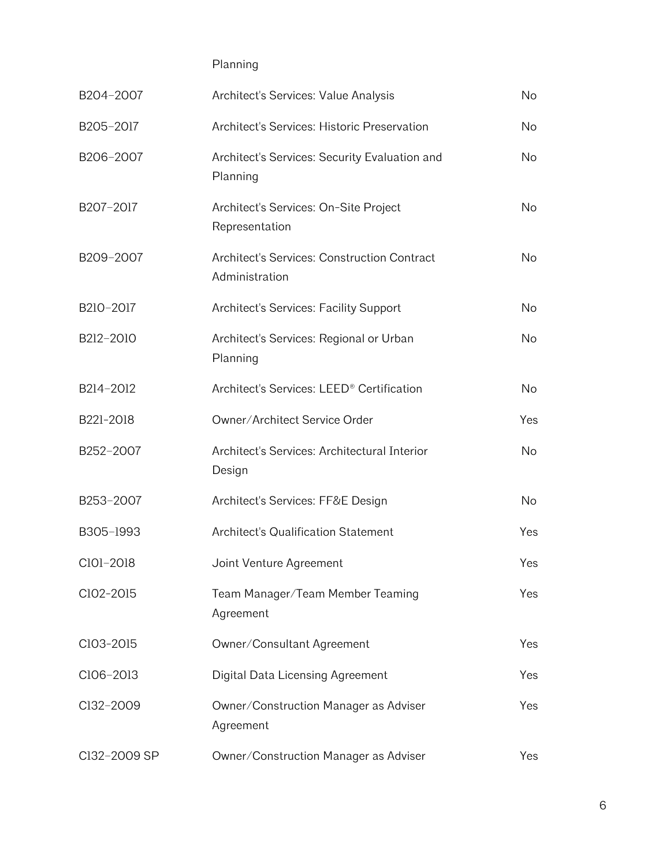Planning

| B204-2007    | Architect's Services: Value Analysis                          | No         |
|--------------|---------------------------------------------------------------|------------|
| B205-2017    | Architect's Services: Historic Preservation                   | No         |
| B206-2007    | Architect's Services: Security Evaluation and<br>Planning     | No.        |
| B207-2017    | Architect's Services: On-Site Project<br>Representation       | <b>No</b>  |
| B209-2007    | Architect's Services: Construction Contract<br>Administration | No         |
| B210-2017    | Architect's Services: Facility Support                        | No         |
| B212-2010    | Architect's Services: Regional or Urban<br>Planning           | No         |
| B214-2012    | Architect's Services: LEED <sup>®</sup> Certification         | No         |
| B221-2018    | Owner/Architect Service Order                                 | <b>Yes</b> |
| B252-2007    | Architect's Services: Architectural Interior<br>Design        | No         |
| B253-2007    | Architect's Services: FF&E Design                             | <b>No</b>  |
| B305-1993    | Architect's Qualification Statement                           | Yes        |
| C101-2018    | Joint Venture Agreement                                       | Yes        |
| ClO2-2015    | Team Manager/Team Member Teaming<br>Agreement                 | Yes        |
| C103-2015    | Owner/Consultant Agreement                                    | Yes        |
| ClO6-2013    | Digital Data Licensing Agreement                              | Yes        |
| Cl32-2009    | Owner/Construction Manager as Adviser<br>Agreement            | Yes        |
| Cl32-2009 SP | Owner/Construction Manager as Adviser                         | Yes        |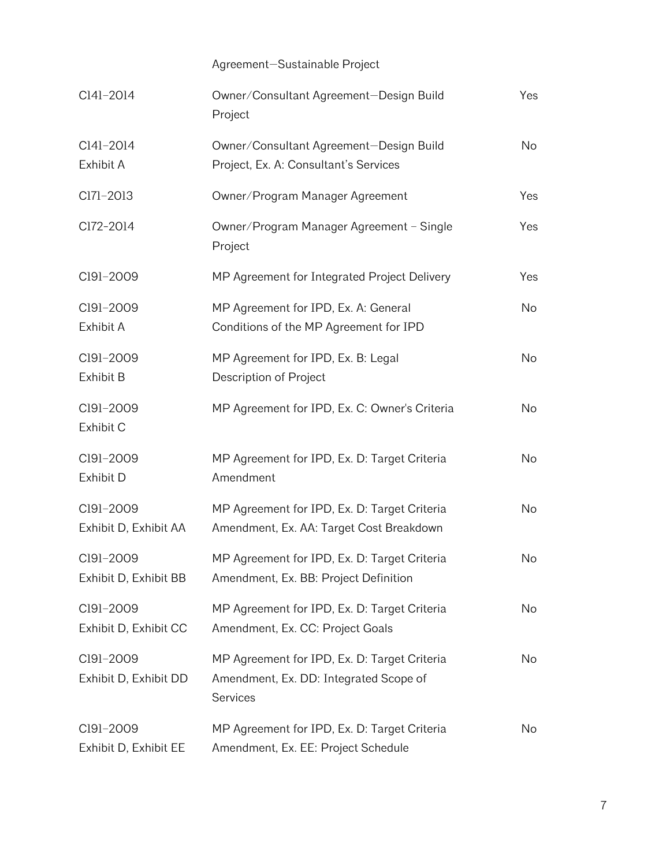|                                    | Agreement-Sustainable Project                                                                      |           |
|------------------------------------|----------------------------------------------------------------------------------------------------|-----------|
| Cl4l-2014                          | Owner/Consultant Agreement-Design Build<br>Project                                                 | Yes       |
| Cl4l-2014<br>Exhibit A             | Owner/Consultant Agreement-Design Build<br>Project, Ex. A: Consultant's Services                   | <b>No</b> |
| C171-2013                          | Owner/Program Manager Agreement                                                                    | Yes       |
| Cl72-2014                          | Owner/Program Manager Agreement - Single<br>Project                                                | Yes       |
| C191-2009                          | MP Agreement for Integrated Project Delivery                                                       | Yes       |
| C191-2009<br>Exhibit A             | MP Agreement for IPD, Ex. A: General<br>Conditions of the MP Agreement for IPD                     | <b>No</b> |
| C191-2009<br>Exhibit B             | MP Agreement for IPD, Ex. B: Legal<br>Description of Project                                       | <b>No</b> |
| C191-2009<br>Exhibit C             | MP Agreement for IPD, Ex. C: Owner's Criteria                                                      | No        |
| C191-2009<br>Exhibit D             | MP Agreement for IPD, Ex. D: Target Criteria<br>Amendment                                          | <b>No</b> |
| C191-2009<br>Exhibit D, Exhibit AA | MP Agreement for IPD, Ex. D: Target Criteria<br>Amendment, Ex. AA: Target Cost Breakdown           | <b>No</b> |
| C191-2009<br>Exhibit D, Exhibit BB | MP Agreement for IPD, Ex. D: Target Criteria<br>Amendment, Ex. BB: Project Definition              | No        |
| Cl9l-2009<br>Exhibit D, Exhibit CC | MP Agreement for IPD, Ex. D: Target Criteria<br>Amendment, Ex. CC: Project Goals                   | No        |
| C191-2009<br>Exhibit D, Exhibit DD | MP Agreement for IPD, Ex. D: Target Criteria<br>Amendment, Ex. DD: Integrated Scope of<br>Services | No        |
| C191-2009<br>Exhibit D, Exhibit EE | MP Agreement for IPD, Ex. D: Target Criteria<br>Amendment, Ex. EE: Project Schedule                | No        |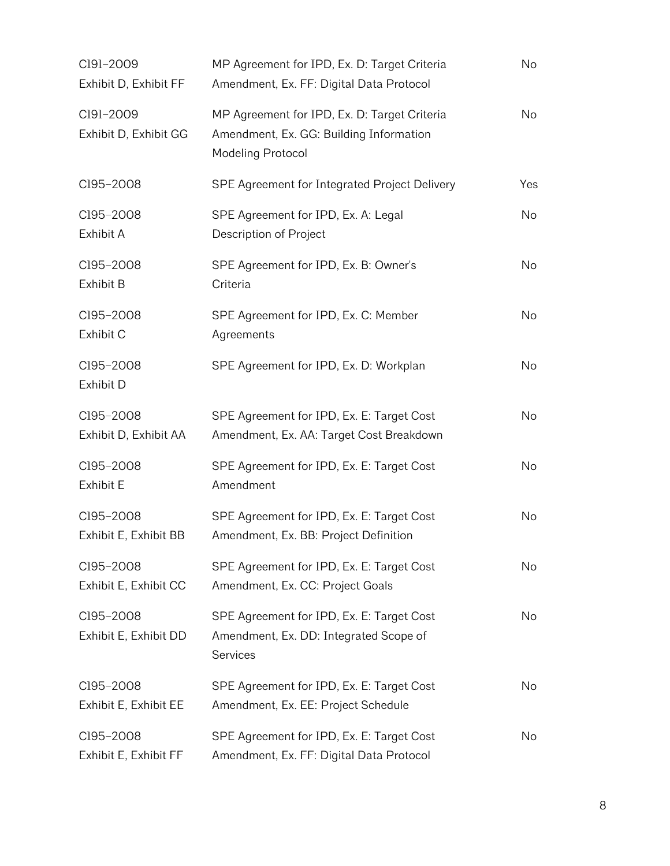| C191-2009<br>Exhibit D, Exhibit FF | MP Agreement for IPD, Ex. D: Target Criteria<br>Amendment, Ex. FF: Digital Data Protocol                            | No        |
|------------------------------------|---------------------------------------------------------------------------------------------------------------------|-----------|
| C191-2009<br>Exhibit D, Exhibit GG | MP Agreement for IPD, Ex. D: Target Criteria<br>Amendment, Ex. GG: Building Information<br><b>Modeling Protocol</b> | No        |
| C195-2008                          | SPE Agreement for Integrated Project Delivery                                                                       | Yes       |
| C195-2008<br>Exhibit A             | SPE Agreement for IPD, Ex. A: Legal<br>Description of Project                                                       | No        |
| C195-2008<br>Exhibit B             | SPE Agreement for IPD, Ex. B: Owner's<br>Criteria                                                                   | No        |
| C195-2008<br>Exhibit C             | SPE Agreement for IPD, Ex. C: Member<br>Agreements                                                                  | <b>No</b> |
| C195-2008<br>Exhibit D             | SPE Agreement for IPD, Ex. D: Workplan                                                                              | <b>No</b> |
| C195-2008<br>Exhibit D, Exhibit AA | SPE Agreement for IPD, Ex. E: Target Cost<br>Amendment, Ex. AA: Target Cost Breakdown                               | No        |
| C195-2008<br>Exhibit E             | SPE Agreement for IPD, Ex. E: Target Cost<br>Amendment                                                              | No        |
| C195-2008<br>Exhibit E, Exhibit BB | SPE Agreement for IPD, Ex. E: Target Cost<br>Amendment, Ex. BB: Project Definition                                  | No        |
| C195-2008<br>Exhibit E, Exhibit CC | SPE Agreement for IPD, Ex. E: Target Cost<br>Amendment, Ex. CC: Project Goals                                       | No        |
| C195-2008<br>Exhibit E, Exhibit DD | SPE Agreement for IPD, Ex. E: Target Cost<br>Amendment, Ex. DD: Integrated Scope of<br><b>Services</b>              | No        |
| C195-2008<br>Exhibit E, Exhibit EE | SPE Agreement for IPD, Ex. E: Target Cost<br>Amendment, Ex. EE: Project Schedule                                    | No        |
| C195-2008<br>Exhibit E, Exhibit FF | SPE Agreement for IPD, Ex. E: Target Cost<br>Amendment, Ex. FF: Digital Data Protocol                               | No        |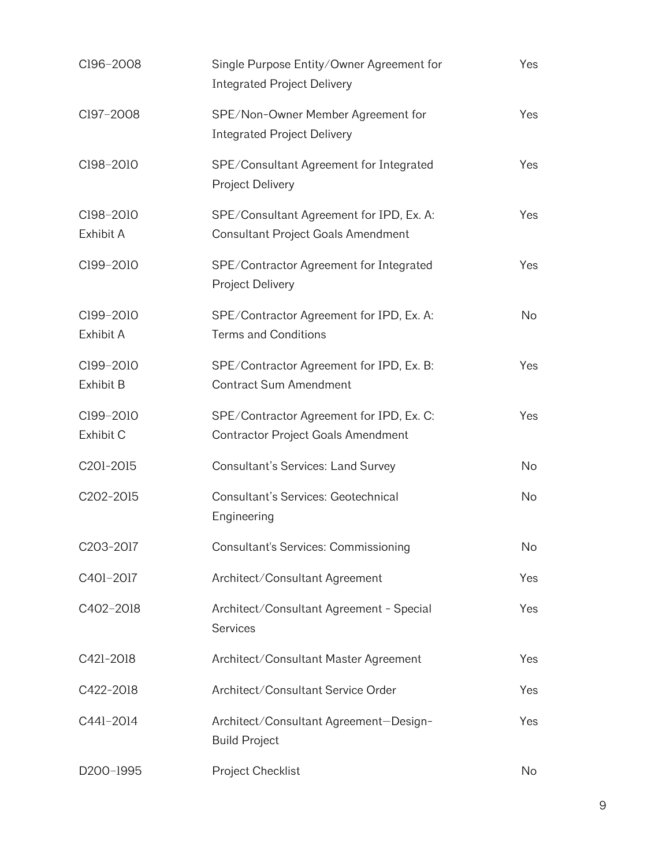| C196-2008              | Single Purpose Entity/Owner Agreement for<br><b>Integrated Project Delivery</b> | Yes       |
|------------------------|---------------------------------------------------------------------------------|-----------|
| C197-2008              | SPE/Non-Owner Member Agreement for<br><b>Integrated Project Delivery</b>        | Yes       |
| C198-2010              | SPE/Consultant Agreement for Integrated<br>Project Delivery                     | Yes       |
| C198-2010<br>Exhibit A | SPE/Consultant Agreement for IPD, Ex. A:<br>Consultant Project Goals Amendment  | Yes       |
| C199-2010              | SPE/Contractor Agreement for Integrated<br>Project Delivery                     | Yes       |
| C199-2010<br>Exhibit A | SPE/Contractor Agreement for IPD, Ex. A:<br><b>Terms and Conditions</b>         | <b>No</b> |
| C199-2010<br>Exhibit B | SPE/Contractor Agreement for IPD, Ex. B:<br><b>Contract Sum Amendment</b>       | Yes       |
| C199-2010<br>Exhibit C | SPE/Contractor Agreement for IPD, Ex. C:<br>Contractor Project Goals Amendment  | Yes       |
| C201-2015              | Consultant's Services: Land Survey                                              | No        |
| C202-2015              | Consultant's Services: Geotechnical<br>Engineering                              | No        |
| C203-2017              | Consultant's Services: Commissioning                                            | No        |
| C401-2017              | Architect/Consultant Agreement                                                  | Yes       |
| C402-2018              | Architect/Consultant Agreement - Special<br>Services                            | Yes       |
| C421-2018              | Architect/Consultant Master Agreement                                           | Yes       |
| C422-2018              | Architect/Consultant Service Order                                              | Yes       |
| C441-2014              | Architect/Consultant Agreement-Design-<br><b>Build Project</b>                  | Yes       |
| D200-1995              | Project Checklist                                                               | No        |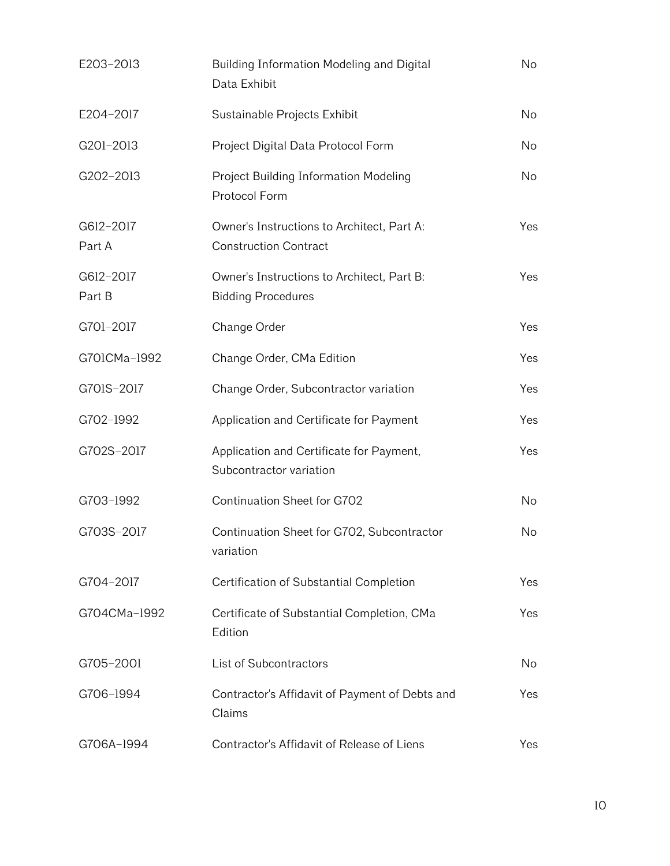| E203-2013           | Building Information Modeling and Digital<br>Data Exhibit                  | No        |
|---------------------|----------------------------------------------------------------------------|-----------|
| E204-2017           | Sustainable Projects Exhibit                                               | <b>No</b> |
| G201-2013           | Project Digital Data Protocol Form                                         | No        |
| G202-2013           | Project Building Information Modeling<br>Protocol Form                     | <b>No</b> |
| G612-2017<br>Part A | Owner's Instructions to Architect, Part A:<br><b>Construction Contract</b> | Yes       |
| G612-2017<br>Part B | Owner's Instructions to Architect, Part B:<br><b>Bidding Procedures</b>    | Yes       |
| G701-2017           | Change Order                                                               | Yes       |
| G701CMa-1992        | Change Order, CMa Edition                                                  | Yes       |
| G701S-2017          | Change Order, Subcontractor variation                                      | Yes       |
| G702-1992           | Application and Certificate for Payment                                    | Yes       |
| G702S-2017          | Application and Certificate for Payment,<br>Subcontractor variation        | Yes       |
| G703-1992           | Continuation Sheet for G702                                                | No        |
| G703S-2017          | Continuation Sheet for G702, Subcontractor<br>variation                    | No        |
| G704-2017           | Certification of Substantial Completion                                    | Yes       |
| G704CMa-1992        | Certificate of Substantial Completion, CMa<br>Edition                      | Yes       |
| G705-2001           | List of Subcontractors                                                     | No        |
| G706-1994           | Contractor's Affidavit of Payment of Debts and<br>Claims                   | Yes       |
| G706A-1994          | Contractor's Affidavit of Release of Liens                                 | Yes       |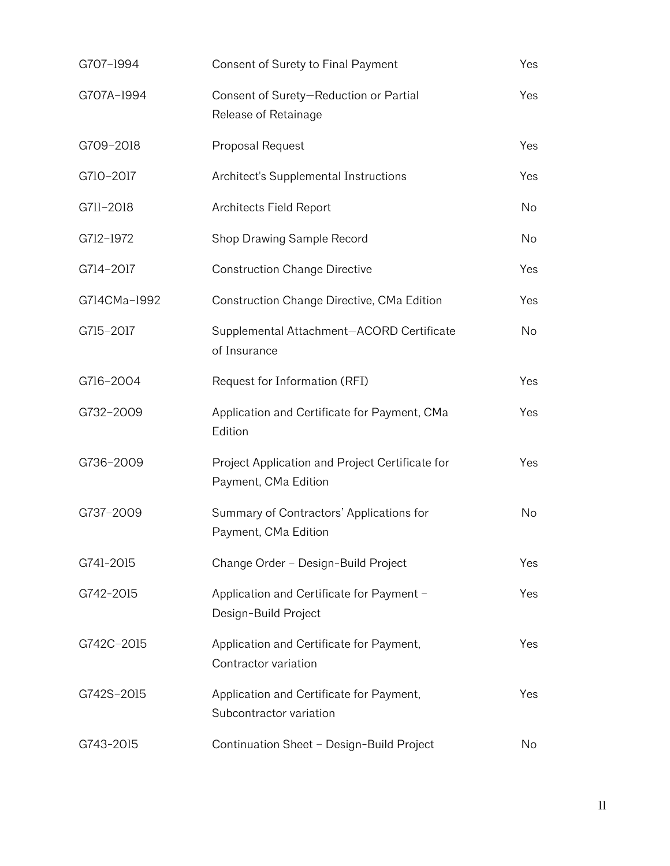| G707-1994    | Consent of Surety to Final Payment                                      | Yes       |
|--------------|-------------------------------------------------------------------------|-----------|
| G707A-1994   | Consent of Surety-Reduction or Partial<br>Release of Retainage          | Yes       |
| G709-2018    | Proposal Request                                                        | Yes       |
| G710-2017    | Architect's Supplemental Instructions                                   | Yes       |
| G711-2018    | Architects Field Report                                                 | No        |
| G712-1972    | Shop Drawing Sample Record                                              | No        |
| G714-2017    | <b>Construction Change Directive</b>                                    | Yes       |
| G714CMa-1992 | Construction Change Directive, CMa Edition                              | Yes       |
| G715-2017    | Supplemental Attachment-ACORD Certificate<br>of Insurance               | No        |
| G716-2004    | Request for Information (RFI)                                           | Yes       |
| G732-2009    | Application and Certificate for Payment, CMa<br>Edition                 | Yes       |
| G736-2009    | Project Application and Project Certificate for<br>Payment, CMa Edition | Yes       |
| G737-2009    | Summary of Contractors' Applications for<br>Payment, CMa Edition        | <b>No</b> |
| G741-2015    | Change Order - Design-Build Project                                     | Yes       |
| G742-2015    | Application and Certificate for Payment -<br>Design-Build Project       | Yes       |
| G742C-2015   | Application and Certificate for Payment,<br>Contractor variation        | Yes       |
| G742S-2015   | Application and Certificate for Payment,<br>Subcontractor variation     | Yes       |
| G743-2015    | Continuation Sheet - Design-Build Project                               | No        |